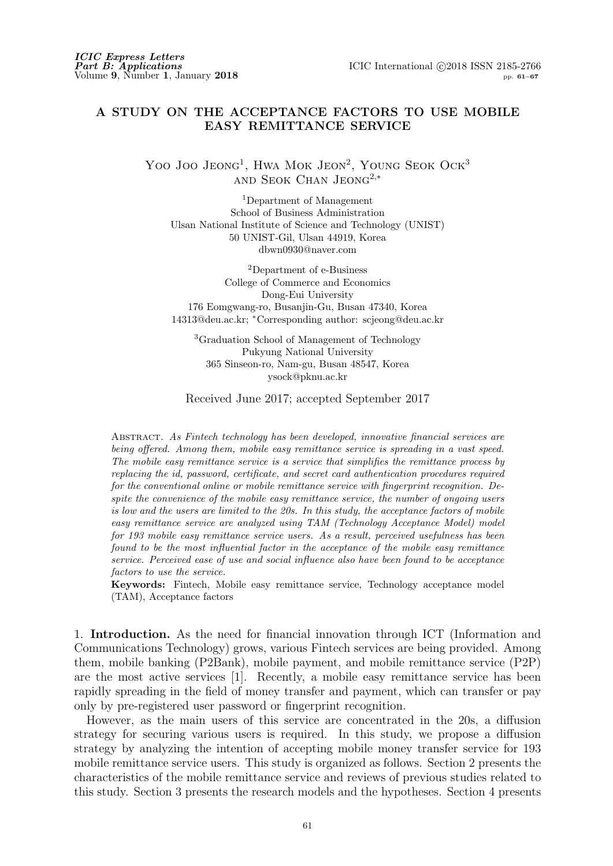# **A STUDY ON THE ACCEPTANCE FACTORS TO USE MOBILE EASY REMITTANCE SERVICE**

Yoo Joo Jeong<sup>1</sup>, Hwa Mok Jeon<sup>2</sup>, Young Seok Ock<sup>3</sup> and Seok Chan Jeong2*,<sup>∗</sup>*

<sup>1</sup>Department of Management School of Business Administration Ulsan National Institute of Science and Technology (UNIST) 50 UNIST-Gil, Ulsan 44919, Korea dbwn0930@naver.com

<sup>2</sup>Department of e-Business College of Commerce and Economics Dong-Eui University 176 Eomgwang-ro, Busanjin-Gu, Busan 47340, Korea 14313@deu.ac.kr; *<sup>∗</sup>*Corresponding author: scjeong@deu.ac.kr

<sup>3</sup>Graduation School of Management of Technology Pukyung National University 365 Sinseon-ro, Nam-gu, Busan 48547, Korea ysock@pknu.ac.kr

Received June 2017; accepted September 2017

Abstract. *As Fintech technology has been developed, innovative financial services are being offered. Among them, mobile easy remittance service is spreading in a vast speed. The mobile easy remittance service is a service that simplifies the remittance process by replacing the id, password, certificate, and secret card authentication procedures required for the conventional online or mobile remittance service with fingerprint recognition. Despite the convenience of the mobile easy remittance service, the number of ongoing users is low and the users are limited to the 20s. In this study, the acceptance factors of mobile easy remittance service are analyzed using TAM (Technology Acceptance Model) model for 193 mobile easy remittance service users. As a result, perceived usefulness has been found to be the most influential factor in the acceptance of the mobile easy remittance service. Perceived ease of use and social influence also have been found to be acceptance factors to use the service.*

**Keywords:** Fintech, Mobile easy remittance service, Technology acceptance model (TAM), Acceptance factors

1. **Introduction.** As the need for financial innovation through ICT (Information and Communications Technology) grows, various Fintech services are being provided. Among them, mobile banking (P2Bank), mobile payment, and mobile remittance service (P2P) are the most active services [1]. Recently, a mobile easy remittance service has been rapidly spreading in the field of money transfer and payment, which can transfer or pay only by pre-registered user password or fingerprint recognition.

However, as the main users of this service are concentrated in the 20s, a diffusion strategy for securing various users is required. In this study, we propose a diffusion strategy by analyzing the intention of accepting mobile money transfer service for 193 mobile remittance service users. This study is organized as follows. Section 2 presents the characteristics of the mobile remittance service and reviews of previous studies related to this study. Section 3 presents the research models and the hypotheses. Section 4 presents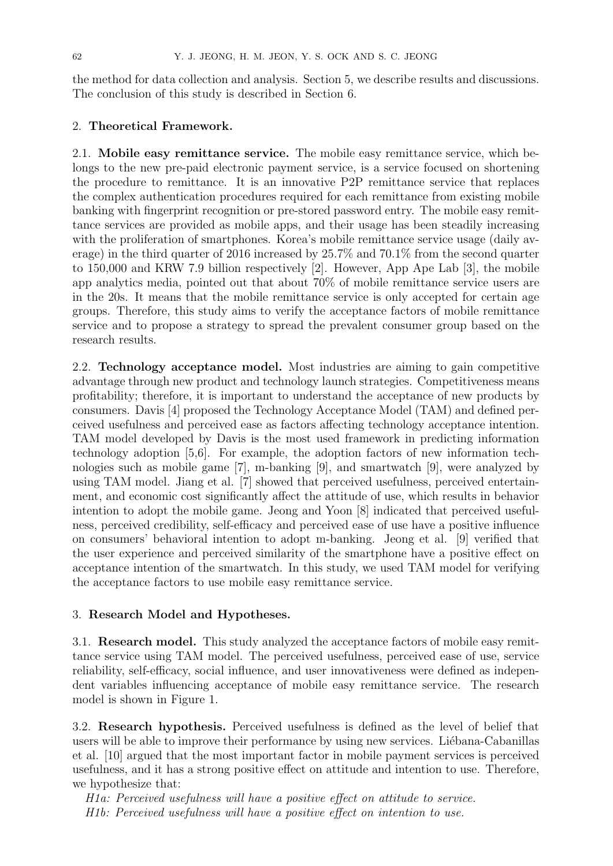the method for data collection and analysis. Section 5, we describe results and discussions. The conclusion of this study is described in Section 6.

## 2. **Theoretical Framework.**

2.1. **Mobile easy remittance service.** The mobile easy remittance service, which belongs to the new pre-paid electronic payment service, is a service focused on shortening the procedure to remittance. It is an innovative P2P remittance service that replaces the complex authentication procedures required for each remittance from existing mobile banking with fingerprint recognition or pre-stored password entry. The mobile easy remittance services are provided as mobile apps, and their usage has been steadily increasing with the proliferation of smartphones. Korea's mobile remittance service usage (daily average) in the third quarter of 2016 increased by 25.7% and 70.1% from the second quarter to 150,000 and KRW 7.9 billion respectively [2]. However, App Ape Lab [3], the mobile app analytics media, pointed out that about 70% of mobile remittance service users are in the 20s. It means that the mobile remittance service is only accepted for certain age groups. Therefore, this study aims to verify the acceptance factors of mobile remittance service and to propose a strategy to spread the prevalent consumer group based on the research results.

2.2. **Technology acceptance model.** Most industries are aiming to gain competitive advantage through new product and technology launch strategies. Competitiveness means profitability; therefore, it is important to understand the acceptance of new products by consumers. Davis [4] proposed the Technology Acceptance Model (TAM) and defined perceived usefulness and perceived ease as factors affecting technology acceptance intention. TAM model developed by Davis is the most used framework in predicting information technology adoption [5,6]. For example, the adoption factors of new information technologies such as mobile game [7], m-banking [9], and smartwatch [9], were analyzed by using TAM model. Jiang et al. [7] showed that perceived usefulness, perceived entertainment, and economic cost significantly affect the attitude of use, which results in behavior intention to adopt the mobile game. Jeong and Yoon [8] indicated that perceived usefulness, perceived credibility, self-efficacy and perceived ease of use have a positive influence on consumers' behavioral intention to adopt m-banking. Jeong et al. [9] verified that the user experience and perceived similarity of the smartphone have a positive effect on acceptance intention of the smartwatch. In this study, we used TAM model for verifying the acceptance factors to use mobile easy remittance service.

### 3. **Research Model and Hypotheses.**

3.1. **Research model.** This study analyzed the acceptance factors of mobile easy remittance service using TAM model. The perceived usefulness, perceived ease of use, service reliability, self-efficacy, social influence, and user innovativeness were defined as independent variables influencing acceptance of mobile easy remittance service. The research model is shown in Figure 1.

3.2. **Research hypothesis.** Perceived usefulness is defined as the level of belief that users will be able to improve their performance by using new services. Liébana-Cabanillas et al. [10] argued that the most important factor in mobile payment services is perceived usefulness, and it has a strong positive effect on attitude and intention to use. Therefore, we hypothesize that:

*H1a: Perceived usefulness will have a positive effect on attitude to service. H1b: Perceived usefulness will have a positive effect on intention to use.*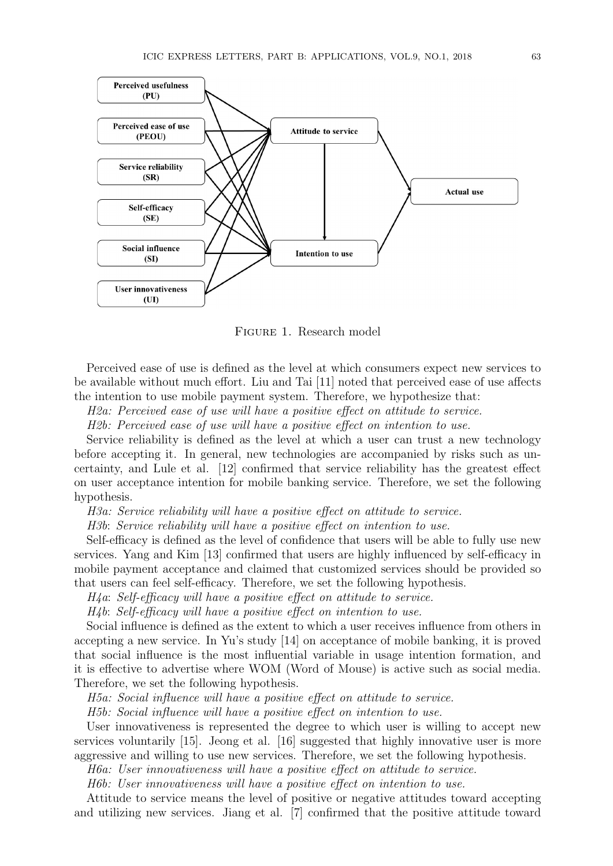

Figure 1. Research model

Perceived ease of use is defined as the level at which consumers expect new services to be available without much effort. Liu and Tai [11] noted that perceived ease of use affects the intention to use mobile payment system. Therefore, we hypothesize that:

*H2a: Perceived ease of use will have a positive effect on attitude to service.*

*H2b: Perceived ease of use will have a positive effect on intention to use.*

Service reliability is defined as the level at which a user can trust a new technology before accepting it. In general, new technologies are accompanied by risks such as uncertainty, and Lule et al. [12] confirmed that service reliability has the greatest effect on user acceptance intention for mobile banking service. Therefore, we set the following hypothesis.

*H3a: Service reliability will have a positive effect on attitude to service.*

*H3b*: *Service reliability will have a positive effect on intention to use.*

Self-efficacy is defined as the level of confidence that users will be able to fully use new services. Yang and Kim [13] confirmed that users are highly influenced by self-efficacy in mobile payment acceptance and claimed that customized services should be provided so that users can feel self-efficacy. Therefore, we set the following hypothesis.

*H4a*: *Self-efficacy will have a positive effect on attitude to service.*

*H4b*: *Self-efficacy will have a positive effect on intention to use.*

Social influence is defined as the extent to which a user receives influence from others in accepting a new service. In Yu's study [14] on acceptance of mobile banking, it is proved that social influence is the most influential variable in usage intention formation, and it is effective to advertise where WOM (Word of Mouse) is active such as social media. Therefore, we set the following hypothesis.

*H5a: Social influence will have a positive effect on attitude to service.*

*H5b: Social influence will have a positive effect on intention to use.*

User innovativeness is represented the degree to which user is willing to accept new services voluntarily [15]. Jeong et al. [16] suggested that highly innovative user is more aggressive and willing to use new services. Therefore, we set the following hypothesis.

*H6a: User innovativeness will have a positive effect on attitude to service.*

*H6b: User innovativeness will have a positive effect on intention to use.*

Attitude to service means the level of positive or negative attitudes toward accepting and utilizing new services. Jiang et al. [7] confirmed that the positive attitude toward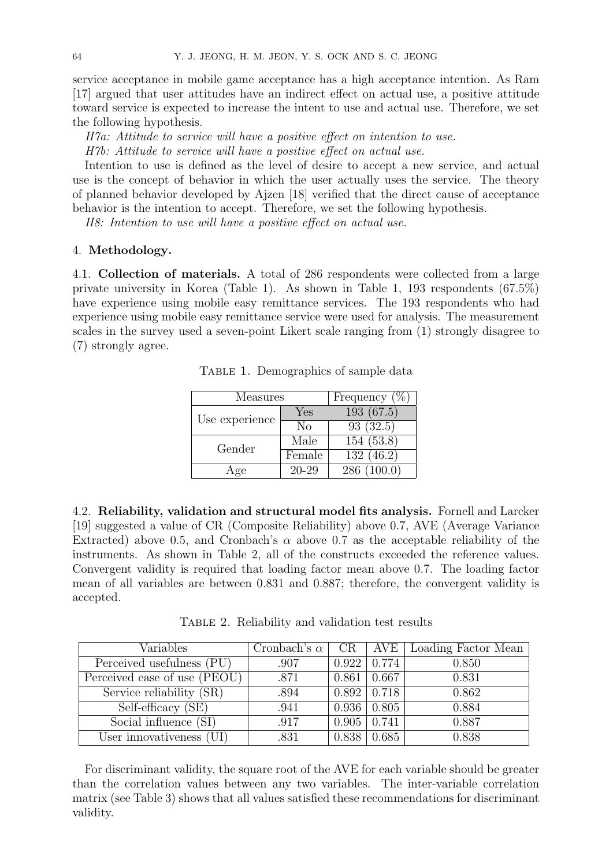service acceptance in mobile game acceptance has a high acceptance intention. As Ram [17] argued that user attitudes have an indirect effect on actual use, a positive attitude toward service is expected to increase the intent to use and actual use. Therefore, we set the following hypothesis.

*H7a: Attitude to service will have a positive effect on intention to use.*

*H7b: Attitude to service will have a positive effect on actual use.*

Intention to use is defined as the level of desire to accept a new service, and actual use is the concept of behavior in which the user actually uses the service. The theory of planned behavior developed by Ajzen [18] verified that the direct cause of acceptance behavior is the intention to accept. Therefore, we set the following hypothesis.

*H8: Intention to use will have a positive effect on actual use.*

#### 4. **Methodology.**

4.1. **Collection of materials.** A total of 286 respondents were collected from a large private university in Korea (Table 1). As shown in Table 1, 193 respondents (67.5%) have experience using mobile easy remittance services. The 193 respondents who had experience using mobile easy remittance service were used for analysis. The measurement scales in the survey used a seven-point Likert scale ranging from (1) strongly disagree to (7) strongly agree.

| Measures       |                | Frequency $(\%)$ |  |
|----------------|----------------|------------------|--|
| Use experience | Yes            | 193 (67.5)       |  |
|                | N <sub>0</sub> | 93(32.5)         |  |
| Gender         | Male           | 154(53.8)        |  |
|                | Female         | 132(46.2)        |  |
| Age            | $20 - 29$      | 286(100.0)       |  |

TABLE 1. Demographics of sample data

4.2. **Reliability, validation and structural model fits analysis.** Fornell and Larcker [19] suggested a value of CR (Composite Reliability) above 0.7, AVE (Average Variance Extracted) above 0.5, and Cronbach's  $\alpha$  above 0.7 as the acceptable reliability of the instruments. As shown in Table 2, all of the constructs exceeded the reference values. Convergent validity is required that loading factor mean above 0.7. The loading factor mean of all variables are between 0.831 and 0.887; therefore, the convergent validity is accepted.

TABLE 2. Reliability and validation test results

| Variables                                        |      |                    |                    | Cronbach's $\alpha$   CR   AVE   Loading Factor Mean |
|--------------------------------------------------|------|--------------------|--------------------|------------------------------------------------------|
| Perceived usefulness (PU)                        | .907 |                    | $0.922 \mid 0.774$ | 0.850                                                |
| Perceived ease of use $(\overline{\text{PEOU}})$ | .871 |                    | $0.861 \mid 0.667$ | 0.831                                                |
| Service reliability (SR)                         | .894 |                    | $0.892 \mid 0.718$ | 0.862                                                |
| $\overline{\text{Self-efficacy}}$ (SE)           | .941 |                    | $0.936 \mid 0.805$ | 0.884                                                |
| Social influence (SI)                            | .917 | $0.905 \mid 0.741$ |                    | 0.887                                                |
| User innovativeness (UI)                         | .831 |                    | $0.838 \mid 0.685$ | 0.838                                                |

For discriminant validity, the square root of the AVE for each variable should be greater than the correlation values between any two variables. The inter-variable correlation matrix (see Table 3) shows that all values satisfied these recommendations for discriminant validity.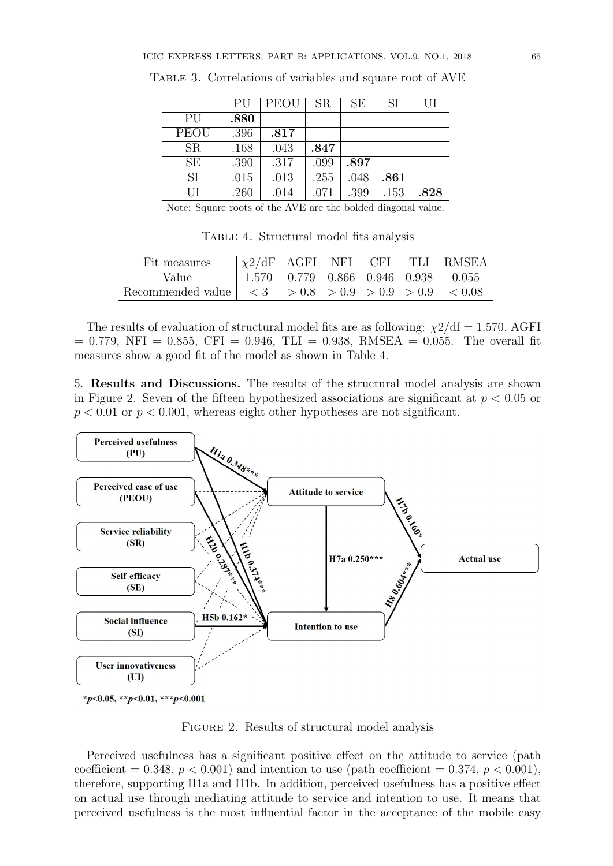|             | PU   | PEOU | SR.  | <b>SE</b> | <b>SI</b> | U    |
|-------------|------|------|------|-----------|-----------|------|
| PU          | .880 |      |      |           |           |      |
| <b>PEOU</b> | .396 | .817 |      |           |           |      |
| <b>SR</b>   | .168 | .043 | .847 |           |           |      |
| <b>SE</b>   | .390 | .317 | .099 | .897      |           |      |
| SI          | .015 | .013 | .255 | .048      | .861      |      |
| U           | .260 | .014 | .071 | .399      | .153      | .828 |

TABLE 3. Correlations of variables and square root of AVE

Note: Square roots of the AVE are the bolded diagonal value.

TABLE 4. Structural model fits analysis

| Fit measures      | $\chi 2/\mathrm{d}F$ | AGFI                                     | NFI | <b>CFI</b>                                    | TH | - RMSEA |
|-------------------|----------------------|------------------------------------------|-----|-----------------------------------------------|----|---------|
| Value             | 1.570                |                                          |     | $0.779 \mid 0.866 \mid 0.946 \mid 0.938 \mid$ |    | 0.055   |
| Recommended value | $\leq 3$             | $\geq 0.8$   $> 0.9$   $> 0.9$   $> 0.9$ |     |                                               |    | < 0.08  |

The results of evaluation of structural model fits are as following:  $\chi^2/df = 1.570$ , AGFI  $= 0.779$ , NFI  $= 0.855$ , CFI  $= 0.946$ , TLI  $= 0.938$ , RMSEA  $= 0.055$ . The overall fit measures show a good fit of the model as shown in Table 4.

5. **Results and Discussions.** The results of the structural model analysis are shown in Figure 2. Seven of the fifteen hypothesized associations are significant at *p <* 0*.*05 or  $p < 0.01$  or  $p < 0.001$ , whereas eight other hypotheses are not significant.



\*p<0.05, \*\*p<0.01, \*\*\*p<0.001

FIGURE 2. Results of structural model analysis

Perceived usefulness has a significant positive effect on the attitude to service (path coefficient =  $0.348$ ,  $p < 0.001$ ) and intention to use (path coefficient =  $0.374$ ,  $p < 0.001$ ), therefore, supporting H1a and H1b. In addition, perceived usefulness has a positive effect on actual use through mediating attitude to service and intention to use. It means that perceived usefulness is the most influential factor in the acceptance of the mobile easy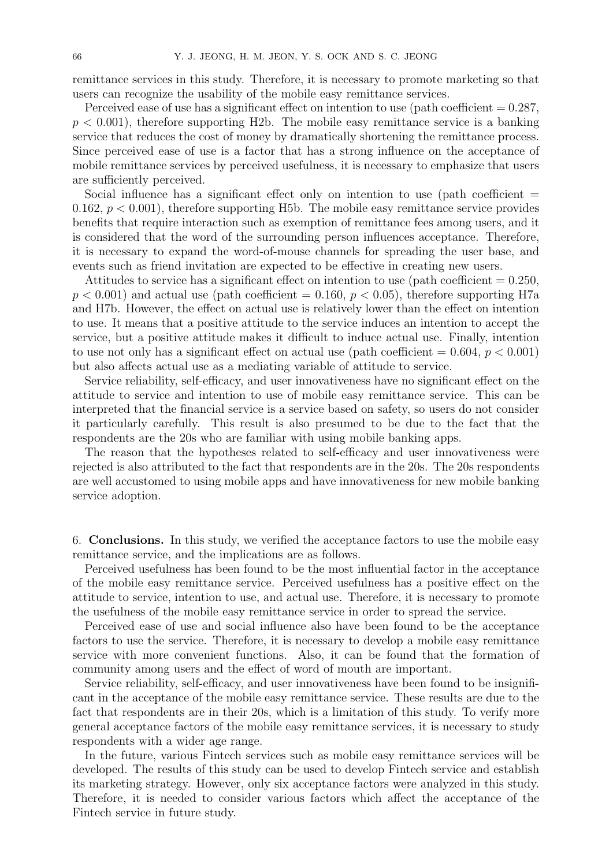remittance services in this study. Therefore, it is necessary to promote marketing so that users can recognize the usability of the mobile easy remittance services.

Perceived ease of use has a significant effect on intention to use (path coefficient  $= 0.287$ ,  $p < 0.001$ , therefore supporting H2b. The mobile easy remittance service is a banking service that reduces the cost of money by dramatically shortening the remittance process. Since perceived ease of use is a factor that has a strong influence on the acceptance of mobile remittance services by perceived usefulness, it is necessary to emphasize that users are sufficiently perceived.

Social influence has a significant effect only on intention to use (path coefficient  $=$ 0.162,  $p < 0.001$ , therefore supporting H5b. The mobile easy remittance service provides benefits that require interaction such as exemption of remittance fees among users, and it is considered that the word of the surrounding person influences acceptance. Therefore, it is necessary to expand the word-of-mouse channels for spreading the user base, and events such as friend invitation are expected to be effective in creating new users.

Attitudes to service has a significant effect on intention to use (path coefficient  $= 0.250$ ,  $p < 0.001$ ) and actual use (path coefficient  $= 0.160, p < 0.05$ ), therefore supporting H7a and H7b. However, the effect on actual use is relatively lower than the effect on intention to use. It means that a positive attitude to the service induces an intention to accept the service, but a positive attitude makes it difficult to induce actual use. Finally, intention to use not only has a significant effect on actual use (path coefficient  $= 0.604, p < 0.001$ ) but also affects actual use as a mediating variable of attitude to service.

Service reliability, self-efficacy, and user innovativeness have no significant effect on the attitude to service and intention to use of mobile easy remittance service. This can be interpreted that the financial service is a service based on safety, so users do not consider it particularly carefully. This result is also presumed to be due to the fact that the respondents are the 20s who are familiar with using mobile banking apps.

The reason that the hypotheses related to self-efficacy and user innovativeness were rejected is also attributed to the fact that respondents are in the 20s. The 20s respondents are well accustomed to using mobile apps and have innovativeness for new mobile banking service adoption.

6. **Conclusions.** In this study, we verified the acceptance factors to use the mobile easy remittance service, and the implications are as follows.

Perceived usefulness has been found to be the most influential factor in the acceptance of the mobile easy remittance service. Perceived usefulness has a positive effect on the attitude to service, intention to use, and actual use. Therefore, it is necessary to promote the usefulness of the mobile easy remittance service in order to spread the service.

Perceived ease of use and social influence also have been found to be the acceptance factors to use the service. Therefore, it is necessary to develop a mobile easy remittance service with more convenient functions. Also, it can be found that the formation of community among users and the effect of word of mouth are important.

Service reliability, self-efficacy, and user innovativeness have been found to be insignificant in the acceptance of the mobile easy remittance service. These results are due to the fact that respondents are in their 20s, which is a limitation of this study. To verify more general acceptance factors of the mobile easy remittance services, it is necessary to study respondents with a wider age range.

In the future, various Fintech services such as mobile easy remittance services will be developed. The results of this study can be used to develop Fintech service and establish its marketing strategy. However, only six acceptance factors were analyzed in this study. Therefore, it is needed to consider various factors which affect the acceptance of the Fintech service in future study.